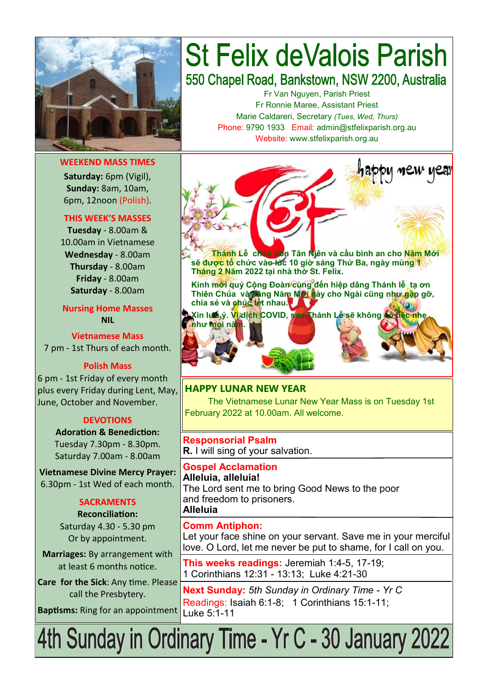

#### **WEEKEND MASS TIMES**

**Saturday:** 6pm (Vigil), **Sunday:** 8am, 10am, 6pm, 12noon (Polish).

#### **THIS WEEK'S MASSES**

**Tuesday** - 8.00am & 10.00am in Vietnamese **Wednesday** - 8.00am **Thursday** - 8.00am **Friday** - 8.00am **Saturday** - 8.00am

### **Nursing Home Masses NIL**

**Vietnamese Mass** 7 pm - 1st Thurs of each month.

#### **Polish Mass**

6 pm - 1st Friday of every month plus every Friday during Lent, May, June, October and November.

#### **DEVOTIONS**

**Adoration & Benediction:**  Tuesday 7.30pm - 8.30pm. Saturday 7.00am - 8.00am

**Vietnamese Divine Mercy Prayer:** 6.30pm - 1st Wed of each month.

#### **SACRAMENTS Reconciliation:**

Saturday 4.30 - 5.30 pm Or by appointment.

**Marriages:** By arrangement with at least 6 months notice.

**Care for the Sick**: Any time. Please call the Presbytery.

**Baptisms:** Ring for an appointment

# **St Felix deValois Parish** 550 Chapel Road, Bankstown, NSW 2200, Australia

Fr Van Nguyen, Parish Priest Fr Ronnie Maree, Assistant Priest Marie Caldareri, Secretary *(Tues, Wed, Thurs)*

Phone: 9790 1933 Email: admin@stfelixparish.org.au Website: www.stfelixparish.org.au



 **Thánh Lễ chào đón Tân Niên và cầu bình an cho Năm Mới sẽ được tổ chức vào lúc 10 giờ sáng Thứ Ba, ngày mùng 1 Tháng 2 Năm 2022 tại nhà thờ St. Felix.**

**Kính mời quý Cộng Đoàn cùng đến hiệp dâng Thánh lễ tạ ơn Thiên Chúa và dâng Năm Mới này cho Ngài cũng như gặp gỡ, chia sẻ và chúc tết nhau.**

**Xin lưu ý. Vì dịch COVID, sau Thánh Lễ sẽ không có tiệc nhẹ** 

## **HAPPY LUNAR NEW YEAR**

The Vietnamese Lunar New Year Mass is on Tuesday 1st February 2022 at 10.00am. All welcome.

**Responsorial Psalm R.** I will sing of your salvation.

**Gospel Acclamation Alleluia, alleluia!** The Lord sent me to bring Good News to the poor and freedom to prisoners. **Alleluia**

#### **Comm Antiphon:**

**như mọi năm.**

Let your face shine on your servant. Save me in your merciful love. O Lord, let me never be put to shame, for I call on you.

**This weeks readings:** Jeremiah 1:4-5, 17-19; 1 Corinthians 12:31 - 13:13; Luke 4:21-30

**Next Sunday:** *5th Sunday in Ordinary Time - Yr C* Readings: Isaiah 6:1-8; 1 Corinthians 15:1-11; Luke 5:1-11

4th Sunday in Ordinary Time - Yr C - 30 January 2022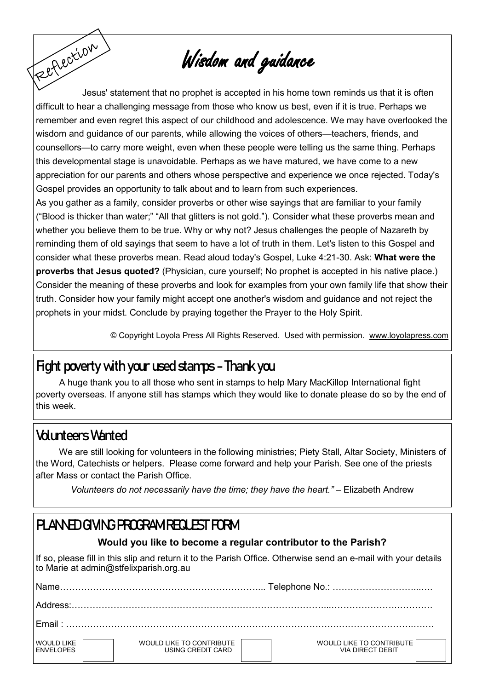# Wisdom and guidance

Feetlection Jesus' statement that no prophet is accepted in his home town reminds us that it is often difficult to hear a challenging message from those who know us best, even if it is true. Perhaps we remember and even regret this aspect of our childhood and adolescence. We may have overlooked the wisdom and guidance of our parents, while allowing the voices of others—teachers, friends, and counsellors—to carry more weight, even when these people were telling us the same thing. Perhaps this developmental stage is unavoidable. Perhaps as we have matured, we have come to a new appreciation for our parents and others whose perspective and experience we once rejected. Today's Gospel provides an opportunity to talk about and to learn from such experiences.

As you gather as a family, consider proverbs or other wise sayings that are familiar to your family ("Blood is thicker than water;" "All that glitters is not gold."). Consider what these proverbs mean and whether you believe them to be true. Why or why not? Jesus challenges the people of Nazareth by reminding them of old sayings that seem to have a lot of truth in them. Let's listen to this Gospel and consider what these proverbs mean. Read aloud today's Gospel, Luke 4:21-30. Ask: **What were the proverbs that Jesus quoted?** (Physician, cure yourself; No prophet is accepted in his native place.) Consider the meaning of these proverbs and look for examples from your own family life that show their truth. Consider how your family might accept one another's wisdom and guidance and not reject the prophets in your midst. Conclude by praying together the [Prayer to the Holy Spirit.](https://www.loyolapress.com/catholic-resources/prayer/traditional-catholic-prayers/prayers-every-catholic-should-know/prayer-to-the-holy-spirit)

© Copyright Loyola Press All Rights Reserved. Used with permission. [www.loyolapress.com](http://www.loyolapress.com)

## **Fight poverty with your used stamps - Thank you**

A huge thank you to all those who sent in stamps to help Mary MacKillop International fight poverty overseas. If anyone still has stamps which they would like to donate please do so by the end of this week.

## **Volunteers Wanted**

We are still looking for volunteers in the following ministries; Piety Stall, Altar Society, Ministers of the Word, Catechists or helpers. Please come forward and help your Parish. See one of the priests after Mass or contact the Parish Office.

*Volunteers do not necessarily have the time; they have the heart."* – Elizabeth Andrew

## **PLANNED GIVING PROGRAM REQUEST FORM**

## **Would you like to become a regular contributor to the Parish?**

If so, please fill in this slip and return it to the Parish Office. Otherwise send an e-mail with your details to Marie at admin@stfelixparish.org.au

| Name                                  |                                               |                                                     |  |  |
|---------------------------------------|-----------------------------------------------|-----------------------------------------------------|--|--|
|                                       |                                               |                                                     |  |  |
| Fmail:                                |                                               |                                                     |  |  |
| <b>WOULD LIKE</b><br><b>ENVELOPES</b> | WOULD LIKE TO CONTRIBUTE<br>USING CREDIT CARD | WOULD LIKE TO CONTRIBUTE<br><b>VIA DIRECT DEBIT</b> |  |  |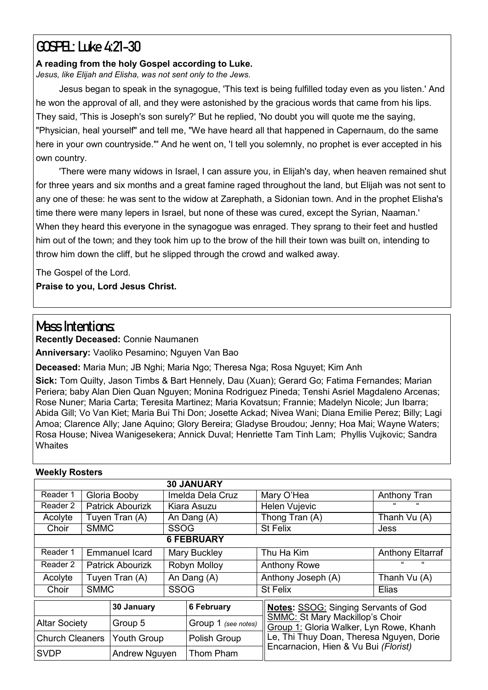## **GOSPEL: Luke 4:21-30**

### **A reading from the holy Gospel according to Luke.**

*Jesus, like Elijah and Elisha, was not sent only to the Jews.*

Jesus began to speak in the synagogue, 'This text is being fulfilled today even as you listen.' And he won the approval of all, and they were astonished by the gracious words that came from his lips. They said, 'This is Joseph's son surely?' But he replied, 'No doubt you will quote me the saying, "Physician, heal yourself" and tell me, "We have heard all that happened in Capernaum, do the same here in your own countryside."' And he went on, 'I tell you solemnly, no prophet is ever accepted in his own country.

'There were many widows in Israel, I can assure you, in Elijah's day, when heaven remained shut for three years and six months and a great famine raged throughout the land, but Elijah was not sent to any one of these: he was sent to the widow at Zarephath, a Sidonian town. And in the prophet Elisha's time there were many lepers in Israel, but none of these was cured, except the Syrian, Naaman.' When they heard this everyone in the synagogue was enraged. They sprang to their feet and hustled him out of the town; and they took him up to the brow of the hill their town was built on, intending to throw him down the cliff, but he slipped through the crowd and walked away.

The Gospel of the Lord. **Praise to you, Lord Jesus Christ.**

## **Mass Intentions:**

**Recently Deceased:** Connie Naumanen

**Anniversary:** Vaoliko Pesamino; Nguyen Van Bao

**Deceased:** Maria Mun; JB Nghi; Maria Ngo; Theresa Nga; Rosa Nguyet; Kim Anh

**Sick:** Tom Quilty, Jason Timbs & Bart Hennely, Dau (Xuan); Gerard Go; Fatima Fernandes; Marian Periera; baby Alan Dien Quan Nguyen; Monina Rodriguez Pineda; Tenshi Asriel Magdaleno Arcenas; Rose Nuner; Maria Carta; Teresita Martinez; Maria Kovatsun; Frannie; Madelyn Nicole; Jun Ibarra; Abida Gill; Vo Van Kiet; Maria Bui Thi Don; Josette Ackad; Nivea Wani; Diana Emilie Perez; Billy; Lagi Amoa; Clarence Ally; Jane Aquino; Glory Bereira; Gladyse Broudou; Jenny; Hoa Mai; Wayne Waters; Rosa House; Nivea Wanigesekera; Annick Duval; Henriette Tam Tinh Lam; Phyllis Vujkovic; Sandra **Whaites** 

| <b>MAGEVIA ITASICIS</b> |                |                         |                   |                                             |                                                                                   |                         |  |  |  |
|-------------------------|----------------|-------------------------|-------------------|---------------------------------------------|-----------------------------------------------------------------------------------|-------------------------|--|--|--|
|                         |                |                         |                   | <b>30 JANUARY</b>                           |                                                                                   |                         |  |  |  |
| Reader 1                |                | Gloria Booby            |                   | Imelda Dela Cruz                            | Mary O'Hea                                                                        | Anthony Tran            |  |  |  |
| Reader 2                |                | <b>Patrick Abourizk</b> |                   | Kiara Asuzu                                 | Helen Vujevic                                                                     | "<br>"                  |  |  |  |
| Acolyte                 |                | Tuyen Tran (A)          |                   | An Dang (A)                                 | Thong Tran (A)                                                                    | Thanh Vu (A)            |  |  |  |
| Choir                   | <b>SMMC</b>    |                         |                   | <b>SSOG</b>                                 | St Felix                                                                          | Jess                    |  |  |  |
|                         |                |                         |                   | <b>6 FEBRUARY</b>                           |                                                                                   |                         |  |  |  |
| Reader 1                |                | Emmanuel Icard          |                   | <b>Mary Buckley</b>                         | Thu Ha Kim                                                                        | <b>Anthony Eltarraf</b> |  |  |  |
| Reader 2                |                | <b>Patrick Abourizk</b> |                   | Robyn Molloy                                | <b>Anthony Rowe</b>                                                               | $\epsilon$<br>"         |  |  |  |
| Acolyte                 | Tuyen Tran (A) |                         | An Dang (A)       |                                             | Anthony Joseph (A)                                                                | Thanh Vu (A)            |  |  |  |
| Choir                   | <b>SMMC</b>    |                         | <b>SSOG</b>       |                                             | <b>St Felix</b>                                                                   | Elias                   |  |  |  |
| 30 January              |                |                         | <b>6 February</b> | <b>Notes: SSOG: Singing Servants of God</b> |                                                                                   |                         |  |  |  |
| <b>Altar Society</b>    |                | Group 5                 |                   | Group 1 (see notes)                         | <b>SMMC: St Mary Mackillop's Choir</b><br>Group 1: Gloria Walker, Lyn Rowe, Khanh |                         |  |  |  |
| <b>Church Cleaners</b>  |                | <b>Youth Group</b>      |                   | Polish Group                                | Le, Thi Thuy Doan, Theresa Nguyen, Dorie<br>Encarnacion, Hien & Vu Bui (Florist)  |                         |  |  |  |
| <b>SVDP</b>             |                | Andrew Nguyen           |                   | Thom Pham                                   |                                                                                   |                         |  |  |  |

## **Weekly Rosters**